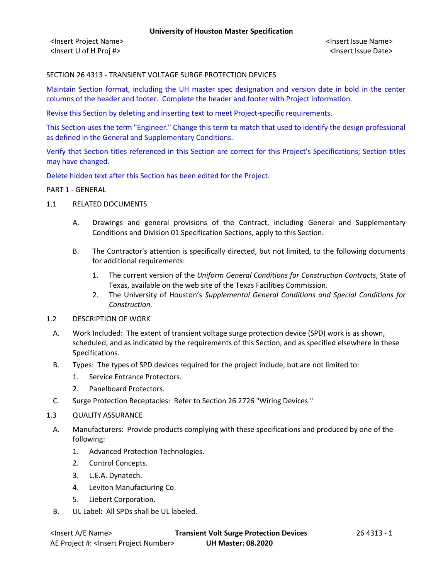<Insert Project Name> <Insert Issue Name> <Insert U of H Proj #> <Insert Issue Date>

### SECTION 26 4313 - TRANSIENT VOLTAGE SURGE PROTECTION DEVICES

Maintain Section format, including the UH master spec designation and version date in bold in the center columns of the header and footer. Complete the header and footer with Project information.

Revise this Section by deleting and inserting text to meet Project-specific requirements.

This Section uses the term "Engineer." Change this term to match that used to identify the design professional as defined in the General and Supplementary Conditions.

Verify that Section titles referenced in this Section are correct for this Project's Specifications; Section titles may have changed.

Delete hidden text after this Section has been edited for the Project.

#### PART 1 - GENERAL

- 1.1 RELATED DOCUMENTS
	- A. Drawings and general provisions of the Contract, including General and Supplementary Conditions and Division 01 Specification Sections, apply to this Section.
	- B. The Contractor's attention is specifically directed, but not limited, to the following documents for additional requirements:
		- 1. The current version of the *Uniform General Conditions for Construction Contracts*, State of Texas, available on the web site of the Texas Facilities Commission.
		- 2. The University of Houston's *Supplemental General Conditions and Special Conditions for Construction.*
- 1.2 DESCRIPTION OF WORK
	- A. Work Included: The extent of transient voltage surge protection device (SPD) work is as shown, scheduled, and as indicated by the requirements of this Section, and as specified elsewhere in these Specifications.
	- B. Types: The types of SPD devices required for the project include, but are not limited to:
		- 1. Service Entrance Protectors.
		- 2. Panelboard Protectors.
	- C. Surge Protection Receptacles: Refer to Section 26 2726 "Wiring Devices."
- 1.3 QUALITY ASSURANCE
- A. Manufacturers: Provide products complying with these specifications and produced by one of the following:
	- 1. Advanced Protection Technologies.
	- 2. Control Concepts.
	- 3. L.E.A. Dynatech.
	- 4. Leviton Manufacturing Co.
	- 5. Liebert Corporation.
- B. UL Label: All SPDs shall be UL labeled.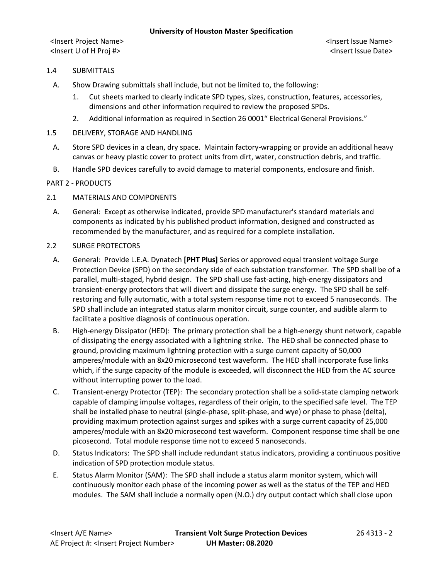<Insert Project Name> <Insert Issue Name> <Insert U of H Proj #> <Insert Issue Date>

# 1.4 SUBMITTALS

- A. Show Drawing submittals shall include, but not be limited to, the following:
	- 1. Cut sheets marked to clearly indicate SPD types, sizes, construction, features, accessories, dimensions and other information required to review the proposed SPDs.
	- 2. Additional information as required in Section 26 0001" Electrical General Provisions."
- 1.5 DELIVERY, STORAGE AND HANDLING
- A. Store SPD devices in a clean, dry space. Maintain factory-wrapping or provide an additional heavy canvas or heavy plastic cover to protect units from dirt, water, construction debris, and traffic.
- B. Handle SPD devices carefully to avoid damage to material components, enclosure and finish.

# PART 2 - PRODUCTS

# 2.1 MATERIALS AND COMPONENTS

A. General: Except as otherwise indicated, provide SPD manufacturer's standard materials and components as indicated by his published product information, designed and constructed as recommended by the manufacturer, and as required for a complete installation.

# 2.2 SURGE PROTECTORS

- A. General: Provide L.E.A. Dynatech **[PHT Plus]** Series or approved equal transient voltage Surge Protection Device (SPD) on the secondary side of each substation transformer. The SPD shall be of a parallel, multi-staged, hybrid design. The SPD shall use fast-acting, high-energy dissipators and transient-energy protectors that will divert and dissipate the surge energy. The SPD shall be selfrestoring and fully automatic, with a total system response time not to exceed 5 nanoseconds. The SPD shall include an integrated status alarm monitor circuit, surge counter, and audible alarm to facilitate a positive diagnosis of continuous operation.
- B. High-energy Dissipator (HED): The primary protection shall be a high-energy shunt network, capable of dissipating the energy associated with a lightning strike. The HED shall be connected phase to ground, providing maximum lightning protection with a surge current capacity of 50,000 amperes/module with an 8x20 microsecond test waveform. The HED shall incorporate fuse links which, if the surge capacity of the module is exceeded, will disconnect the HED from the AC source without interrupting power to the load.
- C. Transient-energy Protector (TEP): The secondary protection shall be a solid-state clamping network capable of clamping impulse voltages, regardless of their origin, to the specified safe level. The TEP shall be installed phase to neutral (single-phase, split-phase, and wye) or phase to phase (delta), providing maximum protection against surges and spikes with a surge current capacity of 25,000 amperes/module with an 8x20 microsecond test waveform. Component response time shall be one picosecond. Total module response time not to exceed 5 nanoseconds.
- D. Status Indicators: The SPD shall include redundant status indicators, providing a continuous positive indication of SPD protection module status.
- E. Status Alarm Monitor (SAM): The SPD shall include a status alarm monitor system, which will continuously monitor each phase of the incoming power as well as the status of the TEP and HED modules. The SAM shall include a normally open (N.O.) dry output contact which shall close upon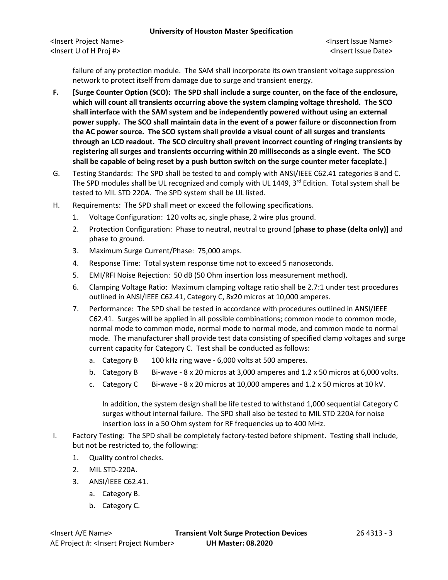#### **University of Houston Master Specification**

failure of any protection module. The SAM shall incorporate its own transient voltage suppression network to protect itself from damage due to surge and transient energy.

- **F. [Surge Counter Option (SCO): The SPD shall include a surge counter, on the face of the enclosure, which will count all transients occurring above the system clamping voltage threshold. The SCO shall interface with the SAM system and be independently powered without using an external power supply. The SCO shall maintain data in the event of a power failure or disconnection from the AC power source. The SCO system shall provide a visual count of all surges and transients through an LCD readout. The SCO circuitry shall prevent incorrect counting of ringing transients by registering all surges and transients occurring within 20 milliseconds as a single event. The SCO shall be capable of being reset by a push button switch on the surge counter meter faceplate.]**
- G. Testing Standards: The SPD shall be tested to and comply with ANSI/IEEE C62.41 categories B and C. The SPD modules shall be UL recognized and comply with UL 1449,  $3<sup>rd</sup>$  Edition. Total system shall be tested to MIL STD 220A. The SPD system shall be UL listed.
- H. Requirements: The SPD shall meet or exceed the following specifications.
	- 1. Voltage Configuration: 120 volts ac, single phase, 2 wire plus ground.
	- 2. Protection Configuration: Phase to neutral, neutral to ground [**phase to phase (delta only)**] and phase to ground.
	- 3. Maximum Surge Current/Phase: 75,000 amps.
	- 4. Response Time: Total system response time not to exceed 5 nanoseconds.
	- 5. EMI/RFI Noise Rejection: 50 dB (50 Ohm insertion loss measurement method).
	- 6. Clamping Voltage Ratio: Maximum clamping voltage ratio shall be 2.7:1 under test procedures outlined in ANSI/IEEE C62.41, Category C, 8x20 micros at 10,000 amperes.
	- 7. Performance: The SPD shall be tested in accordance with procedures outlined in ANSI/IEEE C62.41. Surges will be applied in all possible combinations; common mode to common mode, normal mode to common mode, normal mode to normal mode, and common mode to normal mode. The manufacturer shall provide test data consisting of specified clamp voltages and surge current capacity for Category C. Test shall be conducted as follows:
		- a. Category B 100 kHz ring wave 6,000 volts at 500 amperes.
		- b. Category B Bi-wave  $8 \times 20$  micros at 3,000 amperes and 1.2  $\times$  50 micros at 6,000 volts.
		- c. Category C Bi-wave  $8 \times 20$  micros at 10,000 amperes and 1.2 x 50 micros at 10 kV.

In addition, the system design shall be life tested to withstand 1,000 sequential Category C surges without internal failure. The SPD shall also be tested to MIL STD 220A for noise insertion loss in a 50 Ohm system for RF frequencies up to 400 MHz.

- I. Factory Testing: The SPD shall be completely factory-tested before shipment. Testing shall include, but not be restricted to, the following:
	- 1. Quality control checks.
	- 2. MIL STD-220A.
	- 3. ANSI/IEEE C62.41.
		- a. Category B.
		- b. Category C.